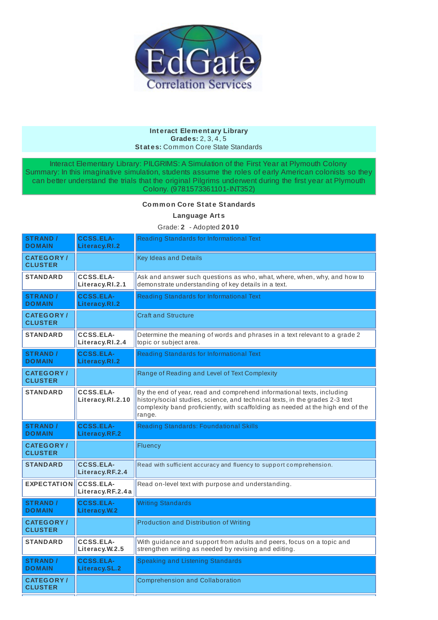

#### **Int eract Element ary Library Grades:** 2, 3, 4, 5 **St at es:** Common Core State Standards

Interact Elementary Library: PILGRIMS: A Simulation of the First Year at Plymouth Colony Summary: In this imaginative simulation, students assume the roles of early American colonists so they can better understand the trials that the original Pilgrims underwent during the first year at Plymouth Colony. (9781573361101-INT352)

### **Common Core St at e St andards**

**Language Art s**

## Grade: **2** - Adopted **2010**

| <b>STRAND /</b><br><b>DOMAIN</b>    | <b>CCSS.ELA-</b><br>Literacy.RI.2    | Reading Standards for Informational Text                                                                                                                                                                                                            |
|-------------------------------------|--------------------------------------|-----------------------------------------------------------------------------------------------------------------------------------------------------------------------------------------------------------------------------------------------------|
| <b>CATEGORY</b> /<br><b>CLUSTER</b> |                                      | <b>Key Ideas and Details</b>                                                                                                                                                                                                                        |
| <b>STANDARD</b>                     | CCSS.ELA-<br>Literacy.RI.2.1         | Ask and answer such questions as who, what, where, when, why, and how to<br>demonstrate understanding of key details in a text.                                                                                                                     |
| <b>STRAND /</b><br><b>DOMAIN</b>    | <b>CCSS.ELA-</b><br>Literacy.RI.2    | Reading Standards for Informational Text                                                                                                                                                                                                            |
| <b>CATEGORY/</b><br><b>CLUSTER</b>  |                                      | <b>Craft and Structure</b>                                                                                                                                                                                                                          |
| <b>STANDARD</b>                     | CCSS.ELA-<br>Literacy.RI.2.4         | Determine the meaning of words and phrases in a text relevant to a grade 2<br>topic or subject area.                                                                                                                                                |
| <b>STRAND /</b><br><b>DOMAIN</b>    | <b>CCSS.ELA-</b><br>Literacy.RI.2    | Reading Standards for Informational Text                                                                                                                                                                                                            |
| <b>CATEGORY/</b><br><b>CLUSTER</b>  |                                      | Range of Reading and Level of Text Complexity                                                                                                                                                                                                       |
| <b>STANDARD</b>                     | CCSS.ELA-<br>Literacy.RI.2.10        | By the end of year, read and comprehend informational texts, including<br>history/social studies, science, and technical texts, in the grades 2-3 text<br>complexity band proficiently, with scaffolding as needed at the high end of the<br>range. |
| <b>STRAND /</b><br><b>DOMAIN</b>    | <b>CCSS.ELA-</b><br>Literacy.RF.2    | <b>Reading Standards: Foundational Skills</b>                                                                                                                                                                                                       |
|                                     |                                      |                                                                                                                                                                                                                                                     |
| <b>CATEGORY/</b><br><b>CLUSTER</b>  |                                      | Fluency                                                                                                                                                                                                                                             |
| <b>STANDARD</b>                     | <b>CCSS.ELA-</b><br>Literacy.RF.2.4  | Read with sufficient accuracy and fluency to support comprehension.                                                                                                                                                                                 |
| <b>EXPECTATION</b>                  | <b>CCSS.ELA-</b><br>Literacy.RF.2.4a | Read on-level text with purpose and understanding.                                                                                                                                                                                                  |
| <b>STRAND /</b><br><b>DOMAIN</b>    | <b>CCSS.ELA-</b><br>Literacy.W.2     | <b>Writing Standards</b>                                                                                                                                                                                                                            |
| <b>CATEGORY/</b><br><b>CLUSTER</b>  |                                      | <b>Production and Distribution of Writing</b>                                                                                                                                                                                                       |
| <b>STANDARD</b>                     | <b>CCSS.ELA-</b><br>Literacy.W.2.5   | With guidance and support from adults and peers, focus on a topic and<br>strengthen writing as needed by revising and editing.                                                                                                                      |
| <b>STRAND /</b><br><b>DOMAIN</b>    | <b>CCSS.ELA-</b><br>Literacy.SL.2    | Speaking and Listening Standards                                                                                                                                                                                                                    |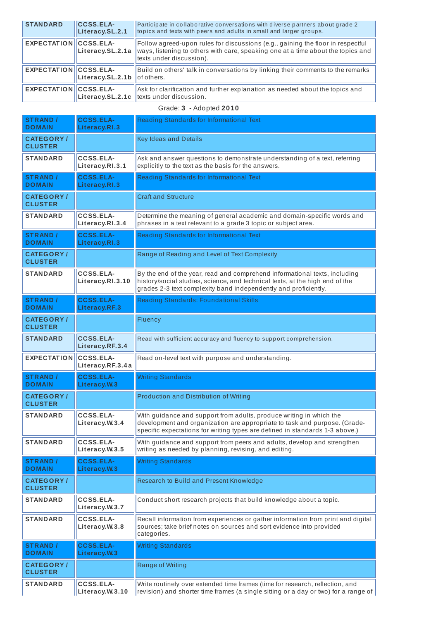| <b>STANDARD</b>              | <b>CCSS.ELA-</b><br>Literacy.SL.2.1 | Participate in collaborative conversations with diverse partners about grade 2<br>topics and texts with peers and adults in small and larger groups.                                            |
|------------------------------|-------------------------------------|-------------------------------------------------------------------------------------------------------------------------------------------------------------------------------------------------|
| <b>EXPECTATION CCSS.ELA-</b> | Literacy.SL.2.1a                    | Follow agreed-upon rules for discussions (e.g., gaining the floor in respectful<br>ways, listening to others with care, speaking one at a time about the topics and<br>texts under discussion). |
| <b>EXPECTATION CCSS.ELA-</b> | Literacy.SL.2.1b   of others.       | Build on others' talk in conversations by linking their comments to the remarks                                                                                                                 |
| <b>EXPECTATION CCSS.ELA-</b> |                                     | Ask for clarification and further explanation as needed about the topics and<br>Literacy.SL.2.1c ltexts under discussion.                                                                       |

# Grade: **3** - Adopted **2010**

| <b>STRAND /</b><br><b>DOMAIN</b>    | <b>CCSS.ELA-</b><br>Literacy.RI.3    | Reading Standards for Informational Text                                                                                                                                                                                         |
|-------------------------------------|--------------------------------------|----------------------------------------------------------------------------------------------------------------------------------------------------------------------------------------------------------------------------------|
| <b>CATEGORY</b> /<br><b>CLUSTER</b> |                                      | <b>Key Ideas and Details</b>                                                                                                                                                                                                     |
| <b>STANDARD</b>                     | <b>CCSS.ELA-</b><br>Literacy.RI.3.1  | Ask and answer questions to demonstrate understanding of a text, referring<br>explicitly to the text as the basis for the answers.                                                                                               |
| <b>STRAND</b> /<br><b>DOMAIN</b>    | <b>CCSS.ELA-</b><br>Literacy.RI.3    | Reading Standards for Informational Text                                                                                                                                                                                         |
| <b>CATEGORY/</b><br><b>CLUSTER</b>  |                                      | <b>Craft and Structure</b>                                                                                                                                                                                                       |
| <b>STANDARD</b>                     | <b>CCSS.ELA-</b><br>Literacy.RI.3.4  | Determine the meaning of general academic and domain-specific words and<br>phrases in a text relevant to a grade 3 topic or subject area.                                                                                        |
| <b>STRAND /</b><br><b>DOMAIN</b>    | <b>CCSS.ELA-</b><br>Literacy.RI.3    | Reading Standards for Informational Text                                                                                                                                                                                         |
| <b>CATEGORY/</b><br><b>CLUSTER</b>  |                                      | Range of Reading and Level of Text Complexity                                                                                                                                                                                    |
| <b>STANDARD</b>                     | <b>CCSS.ELA-</b><br>Literacy.RI.3.10 | By the end of the year, read and comprehend informational texts, including<br>history/social studies, science, and technical texts, at the high end of the<br>grades 2-3 text complexity band independently and proficiently.    |
| <b>STRAND /</b><br><b>DOMAIN</b>    | <b>CCSS.ELA-</b><br>Literacy.RF.3    | <b>Reading Standards: Foundational Skills</b>                                                                                                                                                                                    |
| <b>CATEGORY/</b><br><b>CLUSTER</b>  |                                      | Fluency                                                                                                                                                                                                                          |
| <b>STANDARD</b>                     | <b>CCSS.ELA-</b><br>Literacy.RF.3.4  | Read with sufficient accuracy and fluency to support comprehension.                                                                                                                                                              |
| <b>EXPECTATION</b>                  | <b>CCSS.ELA-</b>                     | Read on-level text with purpose and understanding.                                                                                                                                                                               |
|                                     | Literacy.RF.3.4a                     |                                                                                                                                                                                                                                  |
| <b>STRAND /</b><br><b>DOMAIN</b>    | <b>CCSS.ELA-</b><br>Literacy.W.3     | <b>Writing Standards</b>                                                                                                                                                                                                         |
| <b>CATEGORY/</b><br><b>CLUSTER</b>  |                                      | <b>Production and Distribution of Writing</b>                                                                                                                                                                                    |
| <b>STANDARD</b>                     | <b>CCSS.ELA-</b><br>Literacy.W.3.4   | With guidance and support from adults, produce writing in which the<br>development and organization are appropriate to task and purpose. (Grade-<br>specific expectations for writing types are defined in standards 1-3 above.) |
| <b>STANDARD</b>                     | <b>CCSS.ELA-</b><br>Literacy.W.3.5   | With guidance and support from peers and adults, develop and strengthen<br>writing as needed by planning, revising, and editing.                                                                                                 |
| <b>STRAND /</b><br><b>DOMAIN</b>    | <b>CCSS.ELA-</b><br>Literacy. W.3    | <b>Writing Standards</b>                                                                                                                                                                                                         |
| <b>CATEGORY/</b><br><b>CLUSTER</b>  |                                      | Research to Build and Present Knowledge                                                                                                                                                                                          |
| <b>STANDARD</b>                     | <b>CCSS.ELA-</b><br>Literacy.W.3.7   | Conduct short research projects that build knowledge about a topic.                                                                                                                                                              |
| <b>STANDARD</b>                     | <b>CCSS.ELA-</b><br>Literacy.W.3.8   | Recall information from experiences or gather information from print and digital<br>sources; take brief notes on sources and sort evidence into provided<br>categories.                                                          |
| <b>STRAND /</b><br><b>DOMAIN</b>    | <b>CCSS.ELA-</b><br>Literacy.W.3     | <b>Writing Standards</b>                                                                                                                                                                                                         |
| <b>CATEGORY/</b><br><b>CLUSTER</b>  |                                      | Range of Writing<br>Write routinely over extended time frames (time for research, reflection, and                                                                                                                                |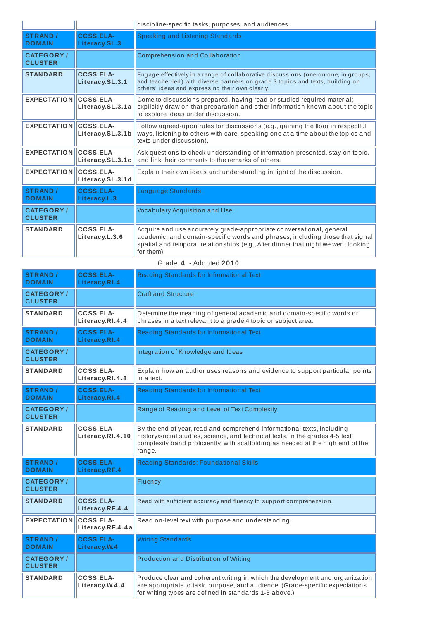|                                    |                                     | discipline-specific tasks, purposes, and audiences.                                                                                                                                                                                                     |
|------------------------------------|-------------------------------------|---------------------------------------------------------------------------------------------------------------------------------------------------------------------------------------------------------------------------------------------------------|
| <b>STRAND /</b><br><b>DOMAIN</b>   | <b>CCSS.ELA-</b><br>Literacy.SL.3   | Speaking and Listening Standards                                                                                                                                                                                                                        |
| <b>CATEGORY/</b><br><b>CLUSTER</b> |                                     | Comprehension and Collaboration                                                                                                                                                                                                                         |
| <b>STANDARD</b>                    | <b>CCSS.ELA-</b><br>Literacy.SL.3.1 | Engage effectively in a range of collaborative discussions (one-on-one, in groups,<br>and teacher-led) with diverse partners on grade 3 topics and texts, building on<br>others' ideas and expressing their own clearly.                                |
| <b>EXPECTATION CCSS.ELA-</b>       | Literacy.SL.3.1a                    | Come to discussions prepared, having read or studied required material;<br>explicitly draw on that preparation and other information known about the topic<br>to explore ideas under discussion.                                                        |
| <b>EXPECTATION CCSS.ELA-</b>       | Literacy.SL.3.1b                    | Follow agreed-upon rules for discussions (e.g., gaining the floor in respectful<br>ways, listening to others with care, speaking one at a time about the topics and<br>texts under discussion).                                                         |
| <b>EXPECTATION CCSS.ELA-</b>       | Literacy.SL.3.1c                    | Ask questions to check understanding of information presented, stay on topic,<br>and link their comments to the remarks of others.                                                                                                                      |
| <b>EXPECTATION CCSS.ELA-</b>       | Literacy.SL.3.1d                    | Explain their own ideas and understanding in light of the discussion.                                                                                                                                                                                   |
| <b>STRAND /</b><br><b>DOMAIN</b>   | <b>CCSS.ELA-</b><br>Literacy.L.3    | Language Standards                                                                                                                                                                                                                                      |
| <b>CATEGORY/</b><br><b>CLUSTER</b> |                                     | <b>Vocabulary Acquisition and Use</b>                                                                                                                                                                                                                   |
| <b>STANDARD</b>                    | CCSS.ELA-<br>Literacy.L.3.6         | Acquire and use accurately grade-appropriate conversational, general<br>academic, and domain-specific words and phrases, including those that signal<br>spatial and temporal relationships (e.g., After dinner that night we went looking<br>for them). |

| $O(400.7 - A00)$ icu <b>zvio</b>   |                                      |                                                                                                                                                                                                                                                     |
|------------------------------------|--------------------------------------|-----------------------------------------------------------------------------------------------------------------------------------------------------------------------------------------------------------------------------------------------------|
| <b>STRAND /</b><br><b>DOMAIN</b>   | <b>CCSS.ELA-</b><br>Literacy.RI.4    | Reading Standards for Informational Text                                                                                                                                                                                                            |
| <b>CATEGORY/</b><br><b>CLUSTER</b> |                                      | <b>Craft and Structure</b>                                                                                                                                                                                                                          |
| <b>STANDARD</b>                    | <b>CCSS.ELA-</b><br>Literacy.RI.4.4  | Determine the meaning of general academic and domain-specific words or<br>phrases in a text relevant to a grade 4 topic or subject area.                                                                                                            |
| <b>STRAND /</b><br><b>DOMAIN</b>   | <b>CCSS.ELA-</b><br>Literacy.RI.4    | Reading Standards for Informational Text                                                                                                                                                                                                            |
| <b>CATEGORY/</b><br><b>CLUSTER</b> |                                      | Integration of Knowledge and Ideas                                                                                                                                                                                                                  |
| <b>STANDARD</b>                    | <b>CCSS.ELA-</b><br>Literacy.RI.4.8  | Explain how an author uses reasons and evidence to support particular points<br>in a text.                                                                                                                                                          |
| <b>STRAND /</b><br><b>DOMAIN</b>   | <b>CCSS.ELA-</b><br>Literacy.RI.4    | Reading Standards for Informational Text                                                                                                                                                                                                            |
| <b>CATEGORY/</b><br><b>CLUSTER</b> |                                      | Range of Reading and Level of Text Complexity                                                                                                                                                                                                       |
| <b>STANDARD</b>                    | <b>CCSS.ELA-</b><br>Literacy.RI.4.10 | By the end of year, read and comprehend informational texts, including<br>history/social studies, science, and technical texts, in the grades 4-5 text<br>complexity band proficiently, with scaffolding as needed at the high end of the<br>range. |
| <b>STRAND /</b><br><b>DOMAIN</b>   | <b>CCSS.ELA-</b><br>Literacy.RF.4    | Reading Standards: Foundational Skills                                                                                                                                                                                                              |
| <b>CATEGORY/</b><br><b>CLUSTER</b> |                                      | Fluency                                                                                                                                                                                                                                             |
| <b>STANDARD</b>                    | <b>CCSS.ELA-</b><br>Literacy.RF.4.4  | Read with sufficient accuracy and fluency to support comprehension.                                                                                                                                                                                 |
| <b>EXPECTATION</b>                 | <b>CCSS.ELA-</b><br>Literacy.RF.4.4a | Read on-level text with purpose and understanding.                                                                                                                                                                                                  |
| <b>STRAND /</b><br><b>DOMAIN</b>   | <b>CCSS.ELA-</b><br>Literacy.W.4     | <b>Writing Standards</b>                                                                                                                                                                                                                            |
| <b>CATEGORY/</b><br><b>CLUSTER</b> |                                      | <b>Production and Distribution of Writing</b>                                                                                                                                                                                                       |
| <b>STANDARD</b>                    | CCSS.ELA-<br>Literacy.W.4.4          | Produce clear and coherent writing in which the development and organization<br>are appropriate to task, purpose, and audience. (Grade-specific expectations<br>for writing types are defined in standards 1-3 above.)                              |

### Grade: **4** - Adopted **2010**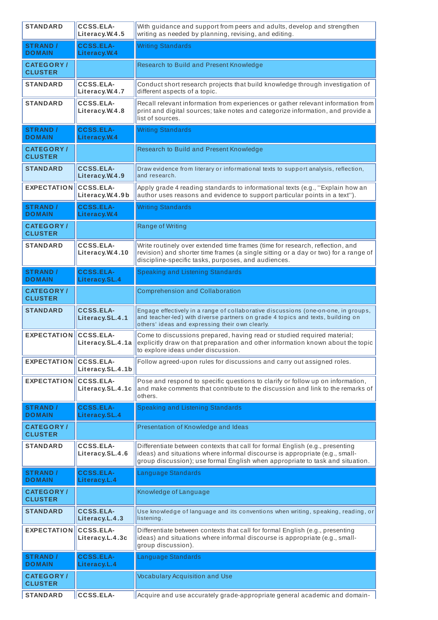| <b>STANDARD</b>                     | <b>CCSS.ELA-</b><br>Literacy.W.4.5   | With guidance and support from peers and adults, develop and strengthen<br>writing as needed by planning, revising, and editing.                                                                                                              |
|-------------------------------------|--------------------------------------|-----------------------------------------------------------------------------------------------------------------------------------------------------------------------------------------------------------------------------------------------|
| <b>STRAND /</b><br><b>DOMAIN</b>    | <b>CCSS.ELA-</b><br>Literacy. W.4    | <b>Writing Standards</b>                                                                                                                                                                                                                      |
| <b>CATEGORY/</b><br><b>CLUSTER</b>  |                                      | Research to Build and Present Knowledge                                                                                                                                                                                                       |
| <b>STANDARD</b>                     | <b>CCSS.ELA-</b><br>Literacy.W.4.7   | Conduct short research projects that build knowledge through investigation of<br>different aspects of a topic.                                                                                                                                |
| <b>STANDARD</b>                     | <b>CCSS.ELA-</b><br>Literacy.W.4.8   | Recall relevant information from experiences or gather relevant information from<br>print and digital sources; take notes and categorize information, and provide a<br>list of sources.                                                       |
| <b>STRAND /</b><br><b>DOMAIN</b>    | <b>CCSS.ELA-</b><br>Literacy.W.4     | <b>Writing Standards</b>                                                                                                                                                                                                                      |
| <b>CATEGORY/</b><br><b>CLUSTER</b>  |                                      | Research to Build and Present Knowledge                                                                                                                                                                                                       |
| <b>STANDARD</b>                     | <b>CCSS.ELA-</b><br>Literacy.W.4.9   | Draw evidence from literary or informational texts to support analysis, reflection,<br>and research.                                                                                                                                          |
| <b>EXPECTATION</b>                  | <b>CCSS.ELA-</b><br>Literacy.W.4.9b  | Apply grade 4 reading standards to informational texts (e.g., "Explain how an<br>author uses reasons and evidence to support particular points in a text").                                                                                   |
| <b>STRAND /</b><br><b>DOMAIN</b>    | <b>CCSS.ELA-</b><br>Literacy. W.4    | <b>Writing Standards</b>                                                                                                                                                                                                                      |
| <b>CATEGORY/</b><br><b>CLUSTER</b>  |                                      | Range of Writing                                                                                                                                                                                                                              |
| <b>STANDARD</b>                     | <b>CCSS.ELA-</b><br>Literacy.W.4.10  | Write routinely over extended time frames (time for research, reflection, and<br>revision) and shorter time frames (a single sitting or a day or two) for a range of<br>discipline-specific tasks, purposes, and audiences.                   |
| <b>STRAND /</b><br><b>DOMAIN</b>    | <b>CCSS.ELA-</b><br>Literacy.SL.4    | Speaking and Listening Standards                                                                                                                                                                                                              |
| <b>CATEGORY/</b><br><b>CLUSTER</b>  |                                      | Comprehension and Collaboration                                                                                                                                                                                                               |
| <b>STANDARD</b>                     | <b>CCSS.ELA-</b><br>Literacy.SL.4.1  | Engage effectively in a range of collaborative discussions (one-on-one, in groups,<br>and teacher-led) with diverse partners on grade 4 topics and texts, building on<br>others' ideas and expressing their own clearly.                      |
| <b>EXPECTATION</b>                  | <b>CCSS.ELA-</b><br>Literacy.SL.4.1a | Come to discussions prepared, having read or studied required material;<br>explicitly draw on that preparation and other information known about the topic<br>to explore ideas under discussion.                                              |
| <b>EXPECTATION</b>                  | <b>CCSS.ELA-</b><br>Literacy.SL.4.1b | Follow agreed-upon rules for discussions and carry out assigned roles.                                                                                                                                                                        |
| <b>EXPECTATION</b>                  | <b>CCSS.ELA-</b><br>Literacy.SL.4.1c | Pose and respond to specific questions to clarify or follow up on information,<br>and make comments that contribute to the discussion and link to the remarks of<br>others.                                                                   |
| <b>STRAND /</b><br><b>DOMAIN</b>    | <b>CCSS.ELA-</b><br>Literacy.SL.4    | <b>Speaking and Listening Standards</b>                                                                                                                                                                                                       |
| <b>CATEGORY/</b><br><b>CLUSTER</b>  |                                      | Presentation of Knowledge and Ideas                                                                                                                                                                                                           |
| <b>STANDARD</b>                     | <b>CCSS.ELA-</b><br>Literacy.SL.4.6  | Differentiate between contexts that call for formal English (e.g., presenting<br>ideas) and situations where informal discourse is appropriate (e.g., small-<br>group discussion); use formal English when appropriate to task and situation. |
| <b>STRAND /</b><br><b>DOMAIN</b>    | <b>CCSS.ELA-</b><br>Literacy.L.4     | Language Standards                                                                                                                                                                                                                            |
| <b>CATEGORY</b> /<br><b>CLUSTER</b> |                                      | Knowledge of Language                                                                                                                                                                                                                         |
| <b>STANDARD</b>                     | <b>CCSS.ELA-</b><br>Literacy.L.4.3   | Use knowledge of language and its conventions when writing, speaking, reading, or<br>listening.                                                                                                                                               |
| <b>EXPECTATION</b>                  | <b>CCSS.ELA-</b><br>Literacy.L.4.3c  | Differentiate between contexts that call for formal English (e.g., presenting<br>ideas) and situations where informal discourse is appropriate (e.g., small-<br>group discussion).                                                            |
| <b>STRAND /</b><br><b>DOMAIN</b>    | <b>CCSS.ELA-</b><br>Literacy.L.4     | Language Standards                                                                                                                                                                                                                            |
| <b>CATEGORY/</b><br><b>CLUSTER</b>  |                                      | <b>Vocabulary Acquisition and Use</b>                                                                                                                                                                                                         |
| <b>STANDARD</b>                     | CCSS.ELA-                            | Acquire and use accurately grade-appropriate general academic and domain-                                                                                                                                                                     |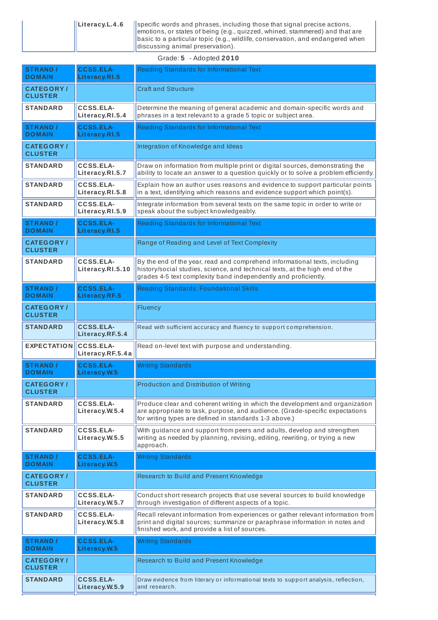|                           | $\parallel$ Literacy.L.4.6 | specific words and phrases, including those that signal precise actions,<br>  emotions, or states of being (e.g., quizzed, whined, stammered) and that are<br>$\parallel$ basic to a particular topic (e.g., wildlife, conservation, and endangered when<br>$\parallel$ discussing animal preservation). |
|---------------------------|----------------------------|----------------------------------------------------------------------------------------------------------------------------------------------------------------------------------------------------------------------------------------------------------------------------------------------------------|
| $Grada: 5 - Andntad 2010$ |                            |                                                                                                                                                                                                                                                                                                          |

|                                    |                                      | Graue. 5 - Auopieu Zulu                                                                                                                                                                                                       |
|------------------------------------|--------------------------------------|-------------------------------------------------------------------------------------------------------------------------------------------------------------------------------------------------------------------------------|
| <b>STRAND /</b><br><b>DOMAIN</b>   | <b>CCSS.ELA-</b><br>Literacy.RI.5    | Reading Standards for Informational Text                                                                                                                                                                                      |
| <b>CATEGORY/</b><br><b>CLUSTER</b> |                                      | <b>Craft and Structure</b>                                                                                                                                                                                                    |
| <b>STANDARD</b>                    | <b>CCSS.ELA-</b><br>Literacy.RI.5.4  | Determine the meaning of general academic and domain-specific words and<br>phrases in a text relevant to a grade 5 topic or subject area.                                                                                     |
| <b>STRAND /</b><br><b>DOMAIN</b>   | <b>CCSS.ELA-</b><br>Literacy.RI.5    | Reading Standards for Informational Text                                                                                                                                                                                      |
| <b>CATEGORY/</b><br><b>CLUSTER</b> |                                      | Integration of Knowledge and Ideas                                                                                                                                                                                            |
| <b>STANDARD</b>                    | <b>CCSS.ELA-</b><br>Literacy.RI.5.7  | Draw on information from multiple print or digital sources, demonstrating the<br>ability to locate an answer to a question quickly or to solve a problem efficiently.                                                         |
| <b>STANDARD</b>                    | <b>CCSS.ELA-</b><br>Literacy.RI.5.8  | Explain how an author uses reasons and evidence to support particular points<br>in a text, identifying which reasons and evidence support which point(s).                                                                     |
| <b>STANDARD</b>                    | <b>CCSS.ELA-</b><br>Literacy.RI.5.9  | Integrate information from several texts on the same topic in order to write or<br>speak about the subject knowledgeably.                                                                                                     |
| <b>STRAND /</b><br><b>DOMAIN</b>   | <b>CCSS.ELA-</b><br>Literacy.RI.5    | Reading Standards for Informational Text                                                                                                                                                                                      |
| <b>CATEGORY/</b><br><b>CLUSTER</b> |                                      | Range of Reading and Level of Text Complexity                                                                                                                                                                                 |
| <b>STANDARD</b>                    | <b>CCSS.ELA-</b><br>Literacy.RI.5.10 | By the end of the year, read and comprehend informational texts, including<br>history/social studies, science, and technical texts, at the high end of the<br>grades 4-5 text complexity band independently and proficiently. |
| <b>STRAND /</b><br><b>DOMAIN</b>   | <b>CCSS.ELA-</b><br>Literacy.RF.5    | Reading Standards: Foundational Skills                                                                                                                                                                                        |
| <b>CATEGORY/</b><br><b>CLUSTER</b> |                                      | Fluency                                                                                                                                                                                                                       |
| <b>STANDARD</b>                    | <b>CCSS.ELA-</b><br>Literacy.RF.5.4  | Read with sufficient accuracy and fluency to support comprehension.                                                                                                                                                           |
| <b>EXPECTATION</b>                 | <b>CCSS.ELA-</b><br>Literacy.RF.5.4a | Read on-level text with purpose and understanding.                                                                                                                                                                            |
| <b>STRAND /</b><br><b>DOMAIN</b>   | <b>CCSS.ELA-</b><br>Literacy.W.5     | <b>Writing Standards</b>                                                                                                                                                                                                      |
| <b>CATEGORY/</b><br><b>CLUSTER</b> |                                      | Production and Distribution of Writing                                                                                                                                                                                        |
| <b>STANDARD</b>                    | <b>CCSS.ELA-</b><br>Literacy.W.5.4   | Produce clear and coherent writing in which the development and organization<br>are appropriate to task, purpose, and audience. (Grade-specific expectations<br>for writing types are defined in standards 1-3 above.)        |
| <b>STANDARD</b>                    | <b>CCSS.ELA-</b><br>Literacy.W.5.5   | With guidance and support from peers and adults, develop and strengthen<br>writing as needed by planning, revising, editing, rewriting, or trying a new<br>approach.                                                          |
| <b>STRAND /</b><br><b>DOMAIN</b>   | <b>CCSS.ELA-</b><br>Literacy.W.5     | <b>Writing Standards</b>                                                                                                                                                                                                      |
| <b>CATEGORY/</b><br><b>CLUSTER</b> |                                      | Research to Build and Present Knowledge                                                                                                                                                                                       |
| <b>STANDARD</b>                    | <b>CCSS.ELA-</b><br>Literacy.W.5.7   | Conduct short research projects that use several sources to build knowledge<br>through investigation of different aspects of a topic.                                                                                         |
| <b>STANDARD</b>                    | <b>CCSS.ELA-</b><br>Literacy.W.5.8   | Recall relevant information from experiences or gather relevant information from<br>print and digital sources; summarize or paraphrase information in notes and<br>finished work, and provide a list of sources.              |
| <b>STRAND /</b><br><b>DOMAIN</b>   | <b>CCSS.ELA-</b><br>Literacy.W.5     | <b>Writing Standards</b>                                                                                                                                                                                                      |
| <b>CATEGORY/</b><br><b>CLUSTER</b> |                                      | Research to Build and Present Knowledge                                                                                                                                                                                       |
| <b>STANDARD</b>                    | <b>CCSS.ELA-</b><br>Literacy.W.5.9   | Draw evidence from literary or informational texts to support analysis, reflection,<br>and research.                                                                                                                          |